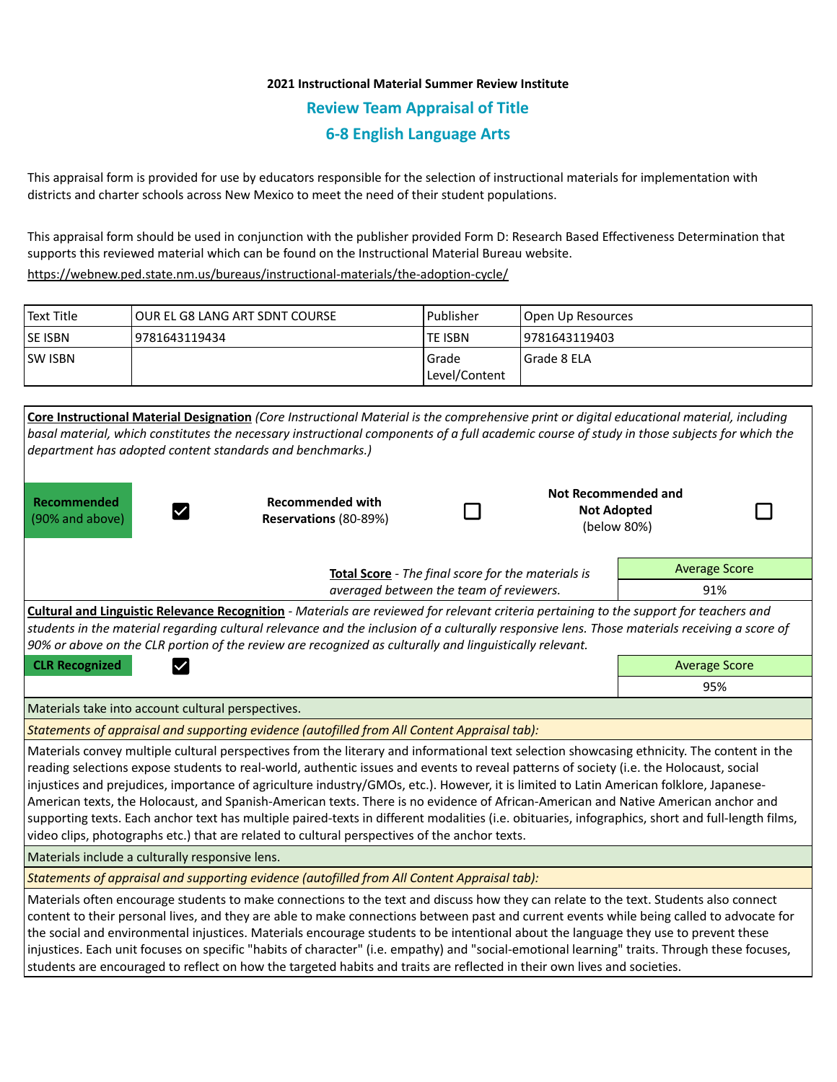# **2021 Instructional Material Summer Review Institute Review Team Appraisal of Title 6-8 English Language Arts**

This appraisal form is provided for use by educators responsible for the selection of instructional materials for implementation with districts and charter schools across New Mexico to meet the need of their student populations.

This appraisal form should be used in conjunction with the publisher provided Form D: Research Based Effectiveness Determination that supports this reviewed material which can be found on the Instructional Material Bureau website.

<https://webnew.ped.state.nm.us/bureaus/instructional-materials/the-adoption-cycle/>

| Text Title     | TOUR EL G8 LANG ART SDNT COURSE | l Publisher               | Open Up Resources |
|----------------|---------------------------------|---------------------------|-------------------|
| <b>SE ISBN</b> | 9781643119434                   | lte ISBN                  | 19781643119403    |
| <b>SW ISBN</b> |                                 | l Grade<br> Level/Content | l Grade 8 ELA     |

| Core Instructional Material Designation (Core Instructional Material is the comprehensive print or digital educational material, including<br>basal material, which constitutes the necessary instructional components of a full academic course of study in those subjects for which the<br>department has adopted content standards and benchmarks.)                                                                                                                                                                                                                                                                                                                                                                                                                                                                        |                                                  |  |  |                                                                 |  |  |  |
|-------------------------------------------------------------------------------------------------------------------------------------------------------------------------------------------------------------------------------------------------------------------------------------------------------------------------------------------------------------------------------------------------------------------------------------------------------------------------------------------------------------------------------------------------------------------------------------------------------------------------------------------------------------------------------------------------------------------------------------------------------------------------------------------------------------------------------|--------------------------------------------------|--|--|-----------------------------------------------------------------|--|--|--|
| Recommended<br>(90% and above)                                                                                                                                                                                                                                                                                                                                                                                                                                                                                                                                                                                                                                                                                                                                                                                                | <b>Recommended with</b><br>Reservations (80-89%) |  |  | <b>Not Recommended and</b><br><b>Not Adopted</b><br>(below 80%) |  |  |  |
| Total Score - The final score for the materials is<br>averaged between the team of reviewers.                                                                                                                                                                                                                                                                                                                                                                                                                                                                                                                                                                                                                                                                                                                                 |                                                  |  |  | <b>Average Score</b>                                            |  |  |  |
|                                                                                                                                                                                                                                                                                                                                                                                                                                                                                                                                                                                                                                                                                                                                                                                                                               |                                                  |  |  | 91%                                                             |  |  |  |
| Cultural and Linguistic Relevance Recognition - Materials are reviewed for relevant criteria pertaining to the support for teachers and<br>students in the material regarding cultural relevance and the inclusion of a culturally responsive lens. Those materials receiving a score of<br>90% or above on the CLR portion of the review are recognized as culturally and linguistically relevant.                                                                                                                                                                                                                                                                                                                                                                                                                           |                                                  |  |  |                                                                 |  |  |  |
| <b>CLR Recognized</b>                                                                                                                                                                                                                                                                                                                                                                                                                                                                                                                                                                                                                                                                                                                                                                                                         |                                                  |  |  | <b>Average Score</b>                                            |  |  |  |
|                                                                                                                                                                                                                                                                                                                                                                                                                                                                                                                                                                                                                                                                                                                                                                                                                               |                                                  |  |  | 95%                                                             |  |  |  |
| Materials take into account cultural perspectives.                                                                                                                                                                                                                                                                                                                                                                                                                                                                                                                                                                                                                                                                                                                                                                            |                                                  |  |  |                                                                 |  |  |  |
| Statements of appraisal and supporting evidence (autofilled from All Content Appraisal tab):                                                                                                                                                                                                                                                                                                                                                                                                                                                                                                                                                                                                                                                                                                                                  |                                                  |  |  |                                                                 |  |  |  |
| Materials convey multiple cultural perspectives from the literary and informational text selection showcasing ethnicity. The content in the<br>reading selections expose students to real-world, authentic issues and events to reveal patterns of society (i.e. the Holocaust, social<br>injustices and prejudices, importance of agriculture industry/GMOs, etc.). However, it is limited to Latin American folklore, Japanese-<br>American texts, the Holocaust, and Spanish-American texts. There is no evidence of African-American and Native American anchor and<br>supporting texts. Each anchor text has multiple paired-texts in different modalities (i.e. obituaries, infographics, short and full-length films,<br>video clips, photographs etc.) that are related to cultural perspectives of the anchor texts. |                                                  |  |  |                                                                 |  |  |  |
| Materials include a culturally responsive lens.                                                                                                                                                                                                                                                                                                                                                                                                                                                                                                                                                                                                                                                                                                                                                                               |                                                  |  |  |                                                                 |  |  |  |
| Statements of appraisal and supporting evidence (autofilled from All Content Appraisal tab):                                                                                                                                                                                                                                                                                                                                                                                                                                                                                                                                                                                                                                                                                                                                  |                                                  |  |  |                                                                 |  |  |  |
| Materials often encourage students to make connections to the text and discuss how they can relate to the text. Students also connect<br>content to their personal lives, and they are able to make connections between past and current events while being called to advocate for<br>the social and environmental injustices. Materials encourage students to be intentional about the language they use to prevent these<br>injustices. Each unit focuses on specific "habits of character" (i.e. empathy) and "social-emotional learning" traits. Through these focuses,<br>students are encouraged to reflect on how the targeted habits and traits are reflected in their own lives and societies.                                                                                                                       |                                                  |  |  |                                                                 |  |  |  |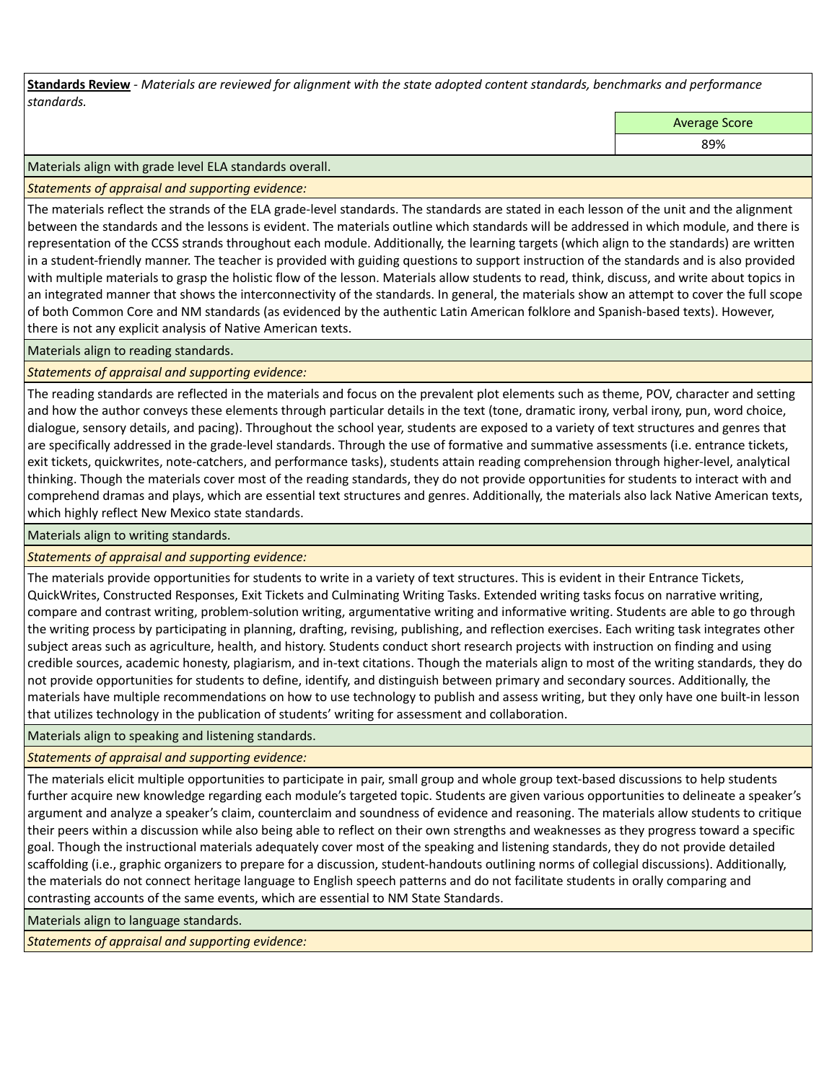**Standards Review** *- Materials are reviewed for alignment with the state adopted content standards, benchmarks and performance standards.*

Average Score

89%

#### Materials align with grade level ELA standards overall.

*Statements of appraisal and supporting evidence:* 

The materials reflect the strands of the ELA grade-level standards. The standards are stated in each lesson of the unit and the alignment between the standards and the lessons is evident. The materials outline which standards will be addressed in which module, and there is representation of the CCSS strands throughout each module. Additionally, the learning targets (which align to the standards) are written in a student-friendly manner. The teacher is provided with guiding questions to support instruction of the standards and is also provided with multiple materials to grasp the holistic flow of the lesson. Materials allow students to read, think, discuss, and write about topics in an integrated manner that shows the interconnectivity of the standards. In general, the materials show an attempt to cover the full scope of both Common Core and NM standards (as evidenced by the authentic Latin American folklore and Spanish-based texts). However, there is not any explicit analysis of Native American texts.

Materials align to reading standards.

## *Statements of appraisal and supporting evidence:*

The reading standards are reflected in the materials and focus on the prevalent plot elements such as theme, POV, character and setting and how the author conveys these elements through particular details in the text (tone, dramatic irony, verbal irony, pun, word choice, dialogue, sensory details, and pacing). Throughout the school year, students are exposed to a variety of text structures and genres that are specifically addressed in the grade-level standards. Through the use of formative and summative assessments (i.e. entrance tickets, exit tickets, quickwrites, note-catchers, and performance tasks), students attain reading comprehension through higher-level, analytical thinking. Though the materials cover most of the reading standards, they do not provide opportunities for students to interact with and comprehend dramas and plays, which are essential text structures and genres. Additionally, the materials also lack Native American texts, which highly reflect New Mexico state standards.

Materials align to writing standards.

## *Statements of appraisal and supporting evidence:*

The materials provide opportunities for students to write in a variety of text structures. This is evident in their Entrance Tickets, QuickWrites, Constructed Responses, Exit Tickets and Culminating Writing Tasks. Extended writing tasks focus on narrative writing, compare and contrast writing, problem-solution writing, argumentative writing and informative writing. Students are able to go through the writing process by participating in planning, drafting, revising, publishing, and reflection exercises. Each writing task integrates other subject areas such as agriculture, health, and history. Students conduct short research projects with instruction on finding and using credible sources, academic honesty, plagiarism, and in-text citations. Though the materials align to most of the writing standards, they do not provide opportunities for students to define, identify, and distinguish between primary and secondary sources. Additionally, the materials have multiple recommendations on how to use technology to publish and assess writing, but they only have one built-in lesson that utilizes technology in the publication of students' writing for assessment and collaboration.

Materials align to speaking and listening standards.

*Statements of appraisal and supporting evidence:* 

The materials elicit multiple opportunities to participate in pair, small group and whole group text-based discussions to help students further acquire new knowledge regarding each module's targeted topic. Students are given various opportunities to delineate a speaker's argument and analyze a speaker's claim, counterclaim and soundness of evidence and reasoning. The materials allow students to critique their peers within a discussion while also being able to reflect on their own strengths and weaknesses as they progress toward a specific goal. Though the instructional materials adequately cover most of the speaking and listening standards, they do not provide detailed scaffolding (i.e., graphic organizers to prepare for a discussion, student-handouts outlining norms of collegial discussions). Additionally, the materials do not connect heritage language to English speech patterns and do not facilitate students in orally comparing and contrasting accounts of the same events, which are essential to NM State Standards.

Materials align to language standards.

*Statements of appraisal and supporting evidence:*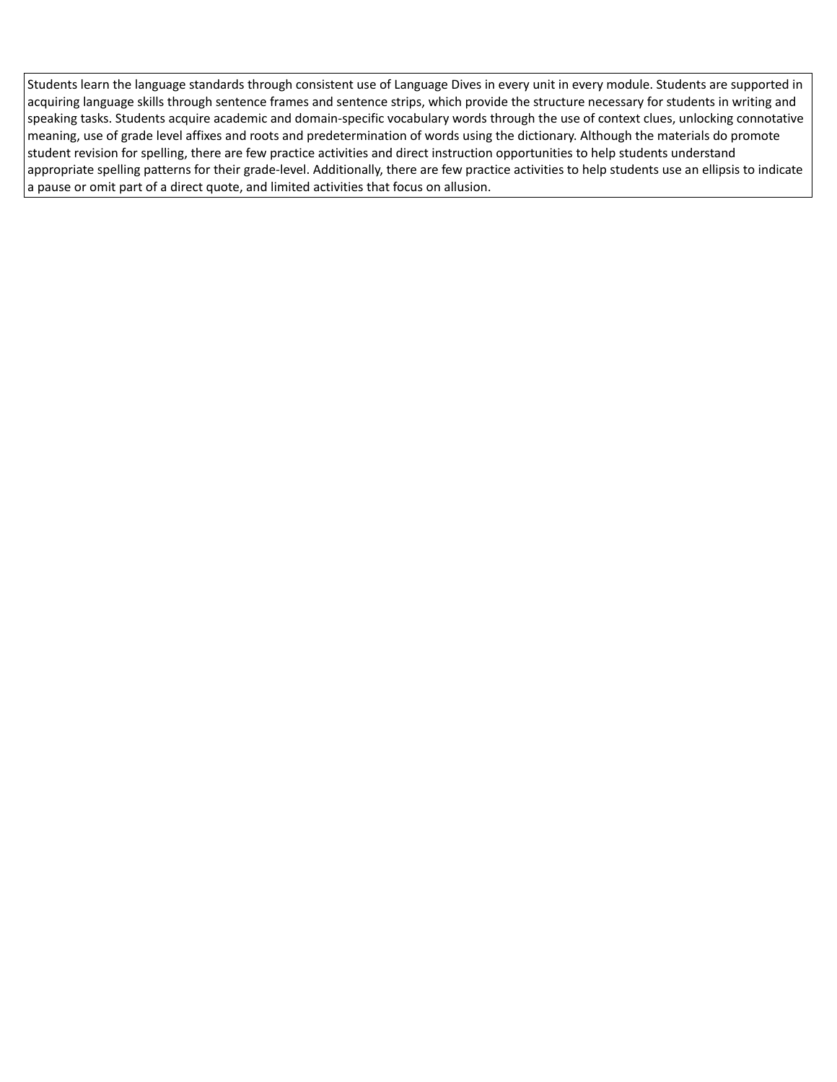Students learn the language standards through consistent use of Language Dives in every unit in every module. Students are supported in acquiring language skills through sentence frames and sentence strips, which provide the structure necessary for students in writing and speaking tasks. Students acquire academic and domain-specific vocabulary words through the use of context clues, unlocking connotative meaning, use of grade level affixes and roots and predetermination of words using the dictionary. Although the materials do promote student revision for spelling, there are few practice activities and direct instruction opportunities to help students understand appropriate spelling patterns for their grade-level. Additionally, there are few practice activities to help students use an ellipsis to indicate a pause or omit part of a direct quote, and limited activities that focus on allusion.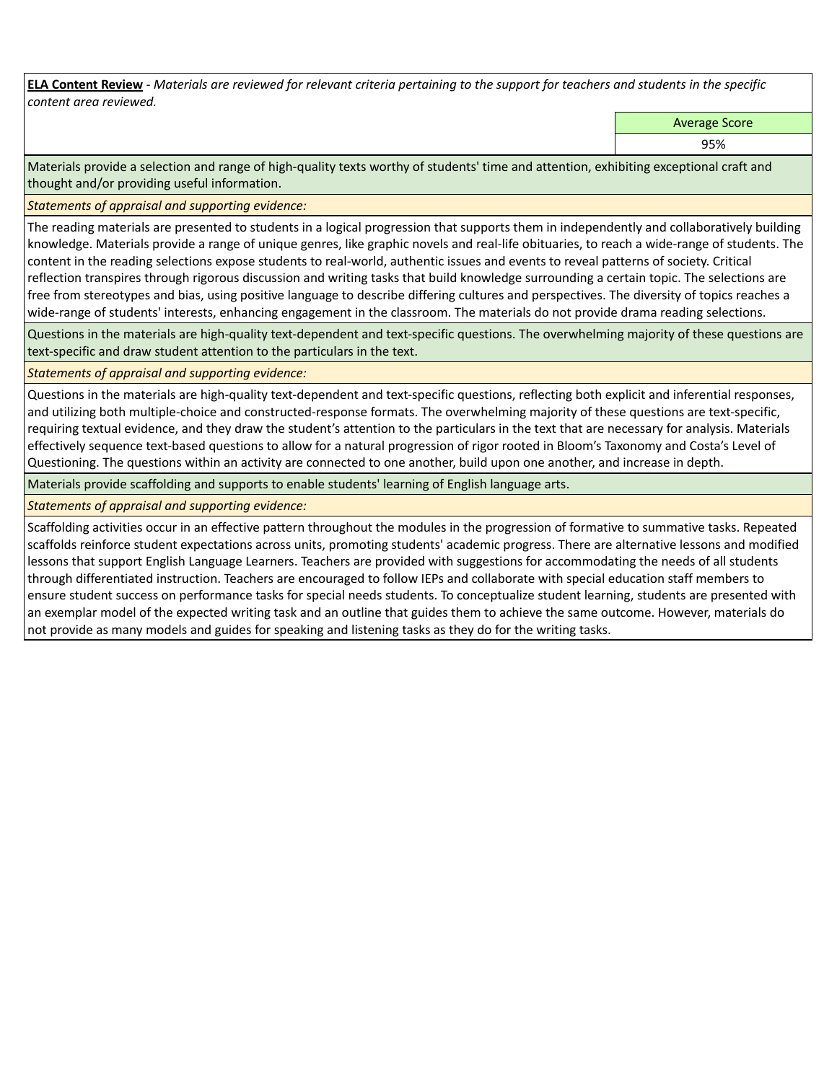**ELA Content Review** *- Materials are reviewed for relevant criteria pertaining to the support for teachers and students in the specific content area reviewed.*

Average Score

95%

Materials provide a selection and range of high-quality texts worthy of students' time and attention, exhibiting exceptional craft and thought and/or providing useful information.

*Statements of appraisal and supporting evidence:* 

The reading materials are presented to students in a logical progression that supports them in independently and collaboratively building knowledge. Materials provide a range of unique genres, like graphic novels and real-life obituaries, to reach a wide-range of students. The content in the reading selections expose students to real-world, authentic issues and events to reveal patterns of society. Critical reflection transpires through rigorous discussion and writing tasks that build knowledge surrounding a certain topic. The selections are free from stereotypes and bias, using positive language to describe differing cultures and perspectives. The diversity of topics reaches a wide-range of students' interests, enhancing engagement in the classroom. The materials do not provide drama reading selections.

Questions in the materials are high-quality text-dependent and text-specific questions. The overwhelming majority of these questions are text-specific and draw student attention to the particulars in the text.

## *Statements of appraisal and supporting evidence:*

Questions in the materials are high-quality text-dependent and text-specific questions, reflecting both explicit and inferential responses, and utilizing both multiple-choice and constructed-response formats. The overwhelming majority of these questions are text-specific, requiring textual evidence, and they draw the student's attention to the particulars in the text that are necessary for analysis. Materials effectively sequence text-based questions to allow for a natural progression of rigor rooted in Bloom's Taxonomy and Costa's Level of Questioning. The questions within an activity are connected to one another, build upon one another, and increase in depth.

Materials provide scaffolding and supports to enable students' learning of English language arts.

## *Statements of appraisal and supporting evidence:*

Scaffolding activities occur in an effective pattern throughout the modules in the progression of formative to summative tasks. Repeated scaffolds reinforce student expectations across units, promoting students' academic progress. There are alternative lessons and modified lessons that support English Language Learners. Teachers are provided with suggestions for accommodating the needs of all students through differentiated instruction. Teachers are encouraged to follow IEPs and collaborate with special education staff members to ensure student success on performance tasks for special needs students. To conceptualize student learning, students are presented with an exemplar model of the expected writing task and an outline that guides them to achieve the same outcome. However, materials do not provide as many models and guides for speaking and listening tasks as they do for the writing tasks.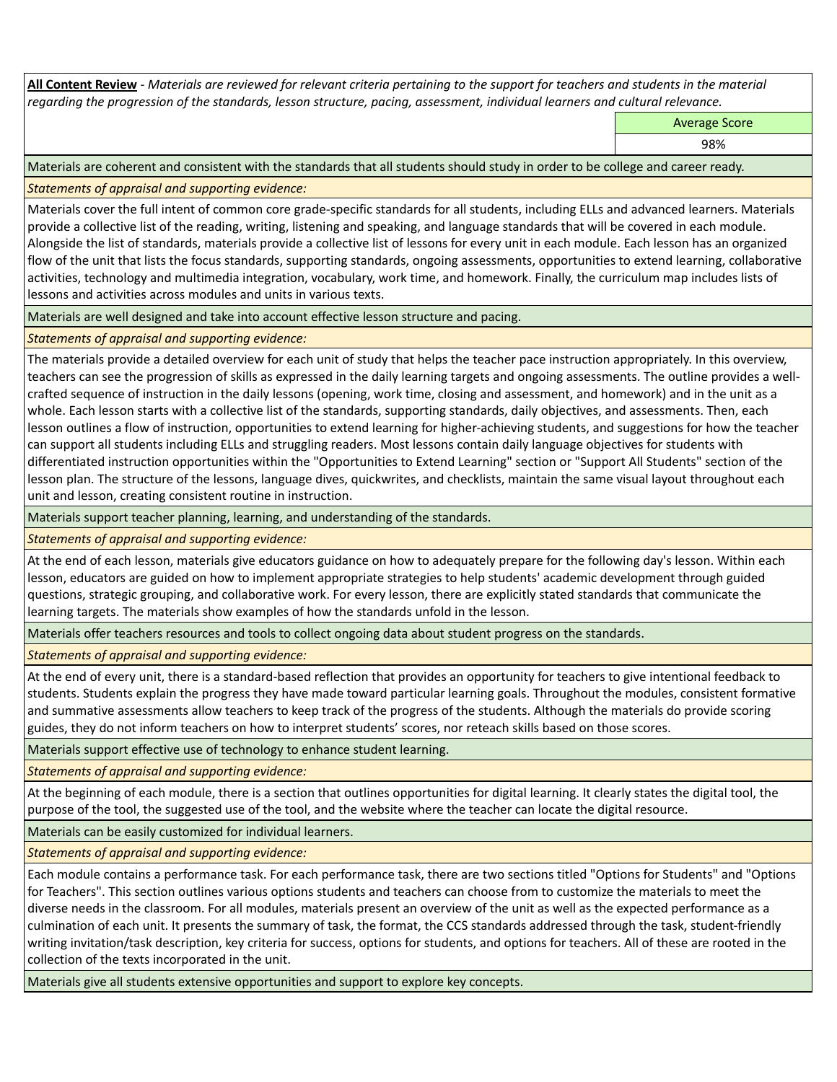**All Content Review** *- Materials are reviewed for relevant criteria pertaining to the support for teachers and students in the material regarding the progression of the standards, lesson structure, pacing, assessment, individual learners and cultural relevance.*

Average Score

98%

Materials are coherent and consistent with the standards that all students should study in order to be college and career ready.

*Statements of appraisal and supporting evidence:*

Materials cover the full intent of common core grade-specific standards for all students, including ELLs and advanced learners. Materials provide a collective list of the reading, writing, listening and speaking, and language standards that will be covered in each module. Alongside the list of standards, materials provide a collective list of lessons for every unit in each module. Each lesson has an organized flow of the unit that lists the focus standards, supporting standards, ongoing assessments, opportunities to extend learning, collaborative activities, technology and multimedia integration, vocabulary, work time, and homework. Finally, the curriculum map includes lists of lessons and activities across modules and units in various texts.

Materials are well designed and take into account effective lesson structure and pacing.

*Statements of appraisal and supporting evidence:*

The materials provide a detailed overview for each unit of study that helps the teacher pace instruction appropriately. In this overview, teachers can see the progression of skills as expressed in the daily learning targets and ongoing assessments. The outline provides a wellcrafted sequence of instruction in the daily lessons (opening, work time, closing and assessment, and homework) and in the unit as a whole. Each lesson starts with a collective list of the standards, supporting standards, daily objectives, and assessments. Then, each lesson outlines a flow of instruction, opportunities to extend learning for higher-achieving students, and suggestions for how the teacher can support all students including ELLs and struggling readers. Most lessons contain daily language objectives for students with differentiated instruction opportunities within the "Opportunities to Extend Learning" section or "Support All Students" section of the lesson plan. The structure of the lessons, language dives, quickwrites, and checklists, maintain the same visual layout throughout each unit and lesson, creating consistent routine in instruction.

Materials support teacher planning, learning, and understanding of the standards.

*Statements of appraisal and supporting evidence:*

At the end of each lesson, materials give educators guidance on how to adequately prepare for the following day's lesson. Within each lesson, educators are guided on how to implement appropriate strategies to help students' academic development through guided questions, strategic grouping, and collaborative work. For every lesson, there are explicitly stated standards that communicate the learning targets. The materials show examples of how the standards unfold in the lesson.

Materials offer teachers resources and tools to collect ongoing data about student progress on the standards.

*Statements of appraisal and supporting evidence:*

At the end of every unit, there is a standard-based reflection that provides an opportunity for teachers to give intentional feedback to students. Students explain the progress they have made toward particular learning goals. Throughout the modules, consistent formative and summative assessments allow teachers to keep track of the progress of the students. Although the materials do provide scoring guides, they do not inform teachers on how to interpret students' scores, nor reteach skills based on those scores.

Materials support effective use of technology to enhance student learning.

*Statements of appraisal and supporting evidence:*

At the beginning of each module, there is a section that outlines opportunities for digital learning. It clearly states the digital tool, the purpose of the tool, the suggested use of the tool, and the website where the teacher can locate the digital resource.

Materials can be easily customized for individual learners.

*Statements of appraisal and supporting evidence:* 

Each module contains a performance task. For each performance task, there are two sections titled "Options for Students" and "Options for Teachers". This section outlines various options students and teachers can choose from to customize the materials to meet the diverse needs in the classroom. For all modules, materials present an overview of the unit as well as the expected performance as a culmination of each unit. It presents the summary of task, the format, the CCS standards addressed through the task, student-friendly writing invitation/task description, key criteria for success, options for students, and options for teachers. All of these are rooted in the collection of the texts incorporated in the unit.

Materials give all students extensive opportunities and support to explore key concepts.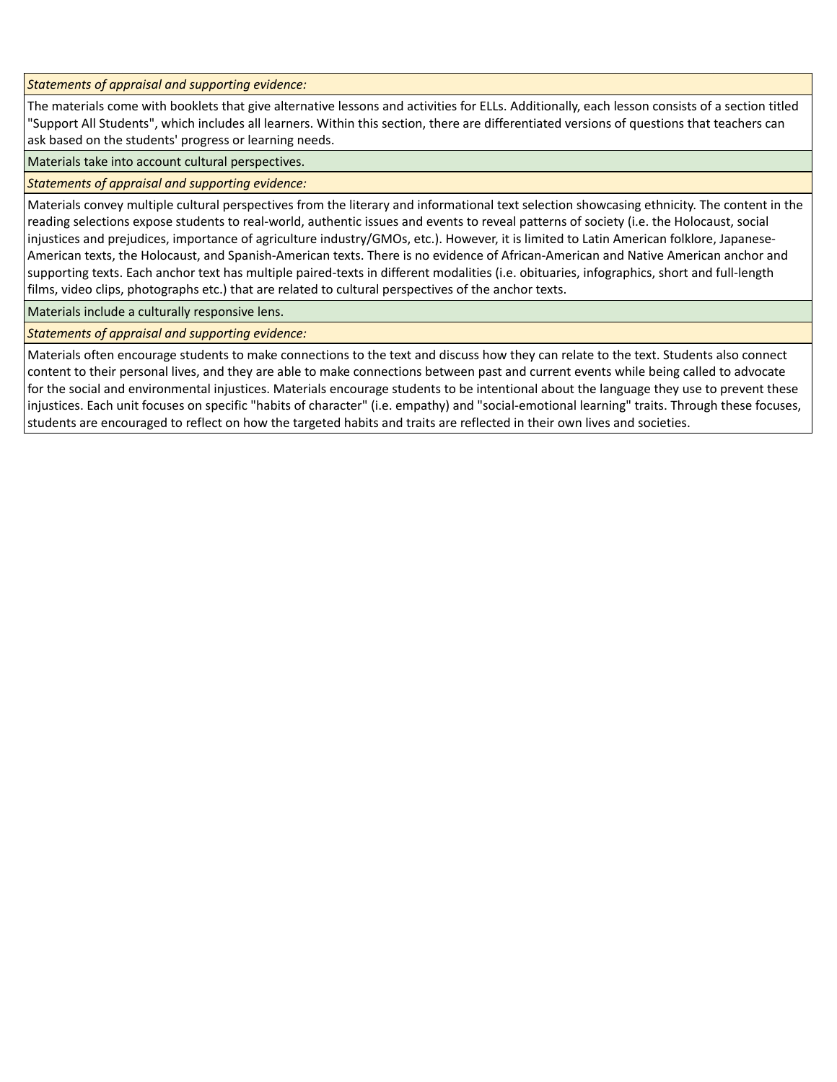*Statements of appraisal and supporting evidence:*

The materials come with booklets that give alternative lessons and activities for ELLs. Additionally, each lesson consists of a section titled "Support All Students", which includes all learners. Within this section, there are differentiated versions of questions that teachers can ask based on the students' progress or learning needs.

Materials take into account cultural perspectives.

*Statements of appraisal and supporting evidence:*

Materials convey multiple cultural perspectives from the literary and informational text selection showcasing ethnicity. The content in the reading selections expose students to real-world, authentic issues and events to reveal patterns of society (i.e. the Holocaust, social injustices and prejudices, importance of agriculture industry/GMOs, etc.). However, it is limited to Latin American folklore, Japanese-American texts, the Holocaust, and Spanish-American texts. There is no evidence of African-American and Native American anchor and supporting texts. Each anchor text has multiple paired-texts in different modalities (i.e. obituaries, infographics, short and full-length films, video clips, photographs etc.) that are related to cultural perspectives of the anchor texts.

Materials include a culturally responsive lens.

*Statements of appraisal and supporting evidence:*

Materials often encourage students to make connections to the text and discuss how they can relate to the text. Students also connect content to their personal lives, and they are able to make connections between past and current events while being called to advocate for the social and environmental injustices. Materials encourage students to be intentional about the language they use to prevent these injustices. Each unit focuses on specific "habits of character" (i.e. empathy) and "social-emotional learning" traits. Through these focuses, students are encouraged to reflect on how the targeted habits and traits are reflected in their own lives and societies.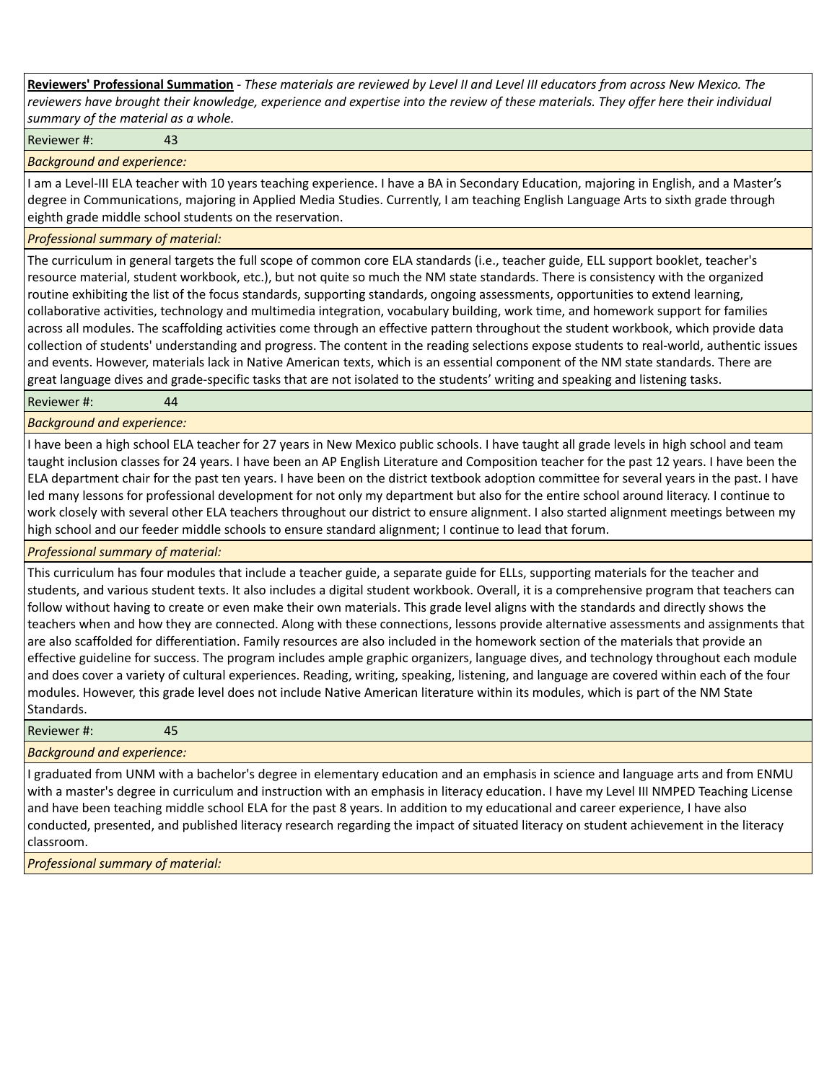**Reviewers' Professional Summation** *- These materials are reviewed by Level II and Level III educators from across New Mexico. The reviewers have brought their knowledge, experience and expertise into the review of these materials. They offer here their individual summary of the material as a whole.*

Reviewer #: 43

*Background and experience:*

I am a Level-III ELA teacher with 10 years teaching experience. I have a BA in Secondary Education, majoring in English, and a Master's degree in Communications, majoring in Applied Media Studies. Currently, I am teaching English Language Arts to sixth grade through eighth grade middle school students on the reservation.

#### *Professional summary of material:*

The curriculum in general targets the full scope of common core ELA standards (i.e., teacher guide, ELL support booklet, teacher's resource material, student workbook, etc.), but not quite so much the NM state standards. There is consistency with the organized routine exhibiting the list of the focus standards, supporting standards, ongoing assessments, opportunities to extend learning, collaborative activities, technology and multimedia integration, vocabulary building, work time, and homework support for families across all modules. The scaffolding activities come through an effective pattern throughout the student workbook, which provide data collection of students' understanding and progress. The content in the reading selections expose students to real-world, authentic issues and events. However, materials lack in Native American texts, which is an essential component of the NM state standards. There are great language dives and grade-specific tasks that are not isolated to the students' writing and speaking and listening tasks.

Reviewer #: 44

*Background and experience:*

I have been a high school ELA teacher for 27 years in New Mexico public schools. I have taught all grade levels in high school and team taught inclusion classes for 24 years. I have been an AP English Literature and Composition teacher for the past 12 years. I have been the ELA department chair for the past ten years. I have been on the district textbook adoption committee for several years in the past. I have led many lessons for professional development for not only my department but also for the entire school around literacy. I continue to work closely with several other ELA teachers throughout our district to ensure alignment. I also started alignment meetings between my high school and our feeder middle schools to ensure standard alignment; I continue to lead that forum.

#### *Professional summary of material:*

This curriculum has four modules that include a teacher guide, a separate guide for ELLs, supporting materials for the teacher and students, and various student texts. It also includes a digital student workbook. Overall, it is a comprehensive program that teachers can follow without having to create or even make their own materials. This grade level aligns with the standards and directly shows the teachers when and how they are connected. Along with these connections, lessons provide alternative assessments and assignments that are also scaffolded for differentiation. Family resources are also included in the homework section of the materials that provide an effective guideline for success. The program includes ample graphic organizers, language dives, and technology throughout each module and does cover a variety of cultural experiences. Reading, writing, speaking, listening, and language are covered within each of the four modules. However, this grade level does not include Native American literature within its modules, which is part of the NM State Standards.

Reviewer #: 45

#### *Background and experience:*

I graduated from UNM with a bachelor's degree in elementary education and an emphasis in science and language arts and from ENMU with a master's degree in curriculum and instruction with an emphasis in literacy education. I have my Level III NMPED Teaching License and have been teaching middle school ELA for the past 8 years. In addition to my educational and career experience, I have also conducted, presented, and published literacy research regarding the impact of situated literacy on student achievement in the literacy classroom.

*Professional summary of material:*